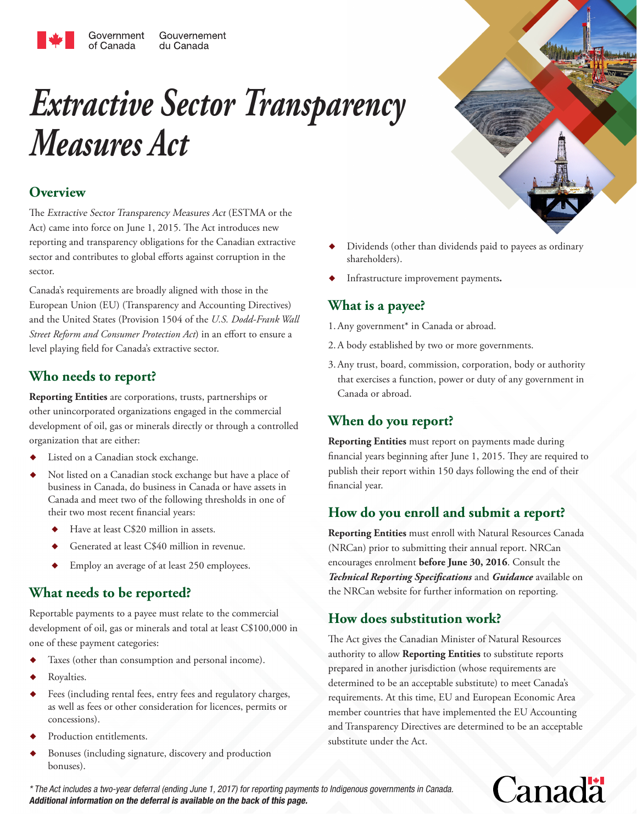# *Extractive Sector Transparency Measures Act*

## **Overview**

The Extractive Sector Transparency Measures Act (ESTMA or the Act) came into force on June 1, 2015. The Act introduces new reporting and transparency obligations for the Canadian extractive sector and contributes to global efforts against corruption in the sector.

Canada's requirements are broadly aligned with those in the European Union (EU) (Transparency and Accounting Directives) and the United States (Provision 1504 of the *U.S. Dodd-Frank Wall Street Reform and Consumer Protection Act*) in an effort to ensure a level playing field for Canada's extractive sector.

## **Who needs to report?**

**Reporting Entities** are corporations, trusts, partnerships or other unincorporated organizations engaged in the commercial development of oil, gas or minerals directly or through a controlled organization that are either:

- Listed on a Canadian stock exchange.
- Not listed on a Canadian stock exchange but have a place of business in Canada, do business in Canada or have assets in Canada and meet two of the following thresholds in one of their two most recent financial years:
	- Have at least C\$20 million in assets.
	- Generated at least C\$40 million in revenue.
	- Employ an average of at least 250 employees.

## **What needs to be reported?**

Reportable payments to a payee must relate to the commercial development of oil, gas or minerals and total at least C\$100,000 in one of these payment categories:

- Taxes (other than consumption and personal income).
- Royalties.
- Fees (including rental fees, entry fees and regulatory charges, as well as fees or other consideration for licences, permits or concessions).
- Production entitlements.
- Bonuses (including signature, discovery and production bonuses).
- Dividends (other than dividends paid to payees as ordinary shareholders).
- Infrastructure improvement payments**.**

## **What is a payee?**

1.Any government\* in Canada or abroad.

- 2.A body established by two or more governments.
- 3.Any trust, board, commission, corporation, body or authority that exercises a function, power or duty of any government in Canada or abroad.

## **When do you report?**

**Reporting Entities** must report on payments made during financial years beginning after June 1, 2015. They are required to publish their report within 150 days following the end of their financial year.

## **How do you enroll and submit a report?**

**Reporting Entities** must enroll with Natural Resources Canada (NRCan) prior to submitting their annual report. NRCan encourages enrolment **before June 30, 2016**. Consult the *Technical Reporting Specifications* and *Guidance* available on the NRCan website for further information on reporting.

## **How does substitution work?**

The Act gives the Canadian Minister of Natural Resources authority to allow **Reporting Entities** to substitute reports prepared in another jurisdiction (whose requirements are determined to be an acceptable substitute) to meet Canada's requirements. At this time, EU and European Economic Area member countries that have implemented the EU Accounting and Transparency Directives are determined to be an acceptable substitute under the Act.

\* The Act includes a two-year deferral (ending June 1, 2017) for reporting payments to Indigenous governments in Canada. **Additional information on the deferral is available on the back of this page.**

## **Canada**